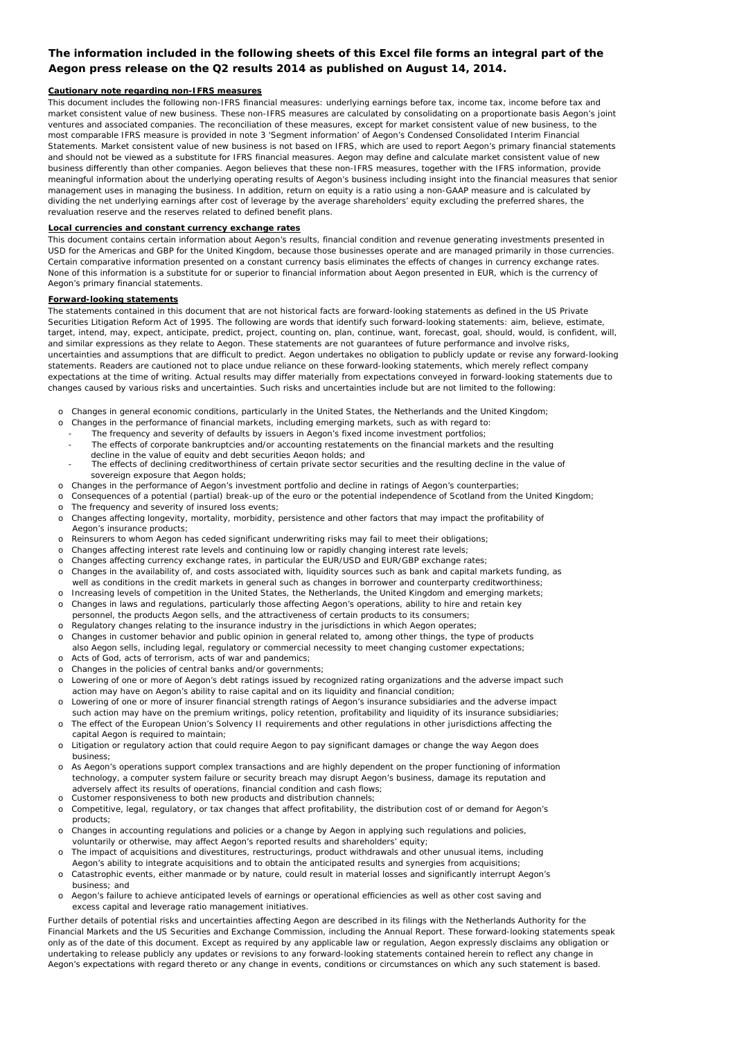### **The information included in the following sheets of this Excel file forms an integral part of the Aegon press release on the Q2 results 2014 as published on August 14, 2014.**

#### **Cautionary note regarding non-IFRS measures**

This document includes the following non-IFRS financial measures: underlying earnings before tax, income tax, income before tax and market consistent value of new business. These non-IFRS measures are calculated by consolidating on a proportionate basis Aegon's joint ventures and associated companies. The reconciliation of these measures, except for market consistent value of new business, to the most comparable IFRS measure is provided in note 3 'Segment information' of Aegon's Condensed Consolidated Interim Financial Statements. Market consistent value of new business is not based on IFRS, which are used to report Aegon's primary financial statements and should not be viewed as a substitute for IFRS financial measures. Aegon may define and calculate market consistent value of new business differently than other companies. Aegon believes that these non-IFRS measures, together with the IFRS information, provide meaningful information about the underlying operating results of Aegon's business including insight into the financial measures that senior management uses in managing the business. In addition, return on equity is a ratio using a non-GAAP measure and is calculated by dividing the net underlying earnings after cost of leverage by the average shareholders' equity excluding the preferred shares, the revaluation reserve and the reserves related to defined benefit plans.

#### **Local currencies and constant currency exchange rates**

This document contains certain information about Aegon's results, financial condition and revenue generating investments presented in USD for the Americas and GBP for the United Kingdom, because those businesses operate and are managed primarily in those currencies. Certain comparative information presented on a constant currency basis eliminates the effects of changes in currency exchange rates. None of this information is a substitute for or superior to financial information about Aegon presented in EUR, which is the currency of Aegon's primary financial statements.

#### **Forward-looking statements**

The statements contained in this document that are not historical facts are forward-looking statements as defined in the US Private Securities Litigation Reform Act of 1995. The following are words that identify such forward-looking statements: aim, believe, estimate, target, intend, may, expect, anticipate, predict, project, counting on, plan, continue, want, forecast, goal, should, would, is confident, will, and similar expressions as they relate to Aegon. These statements are not guarantees of future performance and involve risks, uncertainties and assumptions that are difficult to predict. Aegon undertakes no obligation to publicly update or revise any forward-looking statements. Readers are cautioned not to place undue reliance on these forward-looking statements, which merely reflect company expectations at the time of writing. Actual results may differ materially from expectations conveyed in forward-looking statements due to changes caused by various risks and uncertainties. Such risks and uncertainties include but are not limited to the following:

- o Changes in general economic conditions, particularly in the United States, the Netherlands and the United Kingdom;
- o Changes in the performance of financial markets, including emerging markets, such as with regard to:
	- The frequency and severity of defaults by issuers in Aegon's fixed income investment portfolios;
	- The effects of corporate bankruptcies and/or accounting restatements on the financial markets and the resulting decline in the value of equity and debt securities Aegon holds; and
	- The effects of declining creditworthiness of certain private sector securities and the resulting decline in the value of sovereign exposure that Aegon holds:
- o Changes in the performance of Aegon's investment portfolio and decline in ratings of Aegon's counterparties;
- o Consequences of a potential (partial) break-up of the euro or the potential independence of Scotland from the United Kingdom; o The frequency and severity of insured loss events;
- o Changes affecting longevity, mortality, morbidity, persistence and other factors that may impact the profitability of Aegon's insurance products;
- o Reinsurers to whom Aegon has ceded significant underwriting risks may fail to meet their obligations;
- o Changes affecting interest rate levels and continuing low or rapidly changing interest rate levels;
- o Changes affecting currency exchange rates, in particular the EUR/USD and EUR/GBP exchange rates;
- o Changes in the availability of, and costs associated with, liquidity sources such as bank and capital markets funding, as well as conditions in the credit markets in general such as changes in borrower and counterparty creditworthiness;
- o Increasing levels of competition in the United States, the Netherlands, the United Kingdom and emerging markets; o Changes in laws and regulations, particularly those affecting Aegon's operations, ability to hire and retain key
- personnel, the products Aegon sells, and the attractiveness of certain products to its consumers;
- o Regulatory changes relating to the insurance industry in the jurisdictions in which Aegon operates; Changes in customer behavior and public opinion in general related to, among other things, the type of products
- also Aegon sells, including legal, regulatory or commercial necessity to meet changing customer expectations;
- o Acts of God, acts of terrorism, acts of war and pandemics;
- o Changes in the policies of central banks and/or governments;
- o Lowering of one or more of Aegon's debt ratings issued by recognized rating organizations and the adverse impact such action may have on Aegon's ability to raise capital and on its liquidity and financial condition;
- o Lowering of one or more of insurer financial strength ratings of Aegon's insurance subsidiaries and the adverse impact such action may have on the premium writings, policy retention, profitability and liquidity of its insurance subsidiaries;
- o The effect of the European Union's Solvency II requirements and other regulations in other jurisdictions affecting the capital Aegon is required to maintain;
- o Litigation or regulatory action that could require Aegon to pay significant damages or change the way Aegon does business;
- o As Aegon's operations support complex transactions and are highly dependent on the proper functioning of information technology, a computer system failure or security breach may disrupt Aegon's business, damage its reputation and adversely affect its results of operations, financial condition and cash flows;
- o Customer responsiveness to both new products and distribution channels;
- o Competitive, legal, regulatory, or tax changes that affect profitability, the distribution cost of or demand for Aegon's products;
- o Changes in accounting regulations and policies or a change by Aegon in applying such regulations and policies, voluntarily or otherwise, may affect Aegon's reported results and shareholders' equity;
- o The impact of acquisitions and divestitures, restructurings, product withdrawals and other unusual items, including Aegon's ability to integrate acquisitions and to obtain the anticipated results and synergies from acquisitions;
- o Catastrophic events, either manmade or by nature, could result in material losses and significantly interrupt Aegon's business; and
- Aegon's failure to achieve anticipated levels of earnings or operational efficiencies as well as other cost saving and excess capital and leverage ratio management initiatives.

Further details of potential risks and uncertainties affecting Aegon are described in its filings with the Netherlands Authority for the Financial Markets and the US Securities and Exchange Commission, including the Annual Report. These forward-looking statements speak only as of the date of this document. Except as required by any applicable law or regulation, Aegon expressly disclaims any obligation or undertaking to release publicly any updates or revisions to any forward-looking statements contained herein to reflect any change in Aegon's expectations with regard thereto or any change in events, conditions or circumstances on which any such statement is based.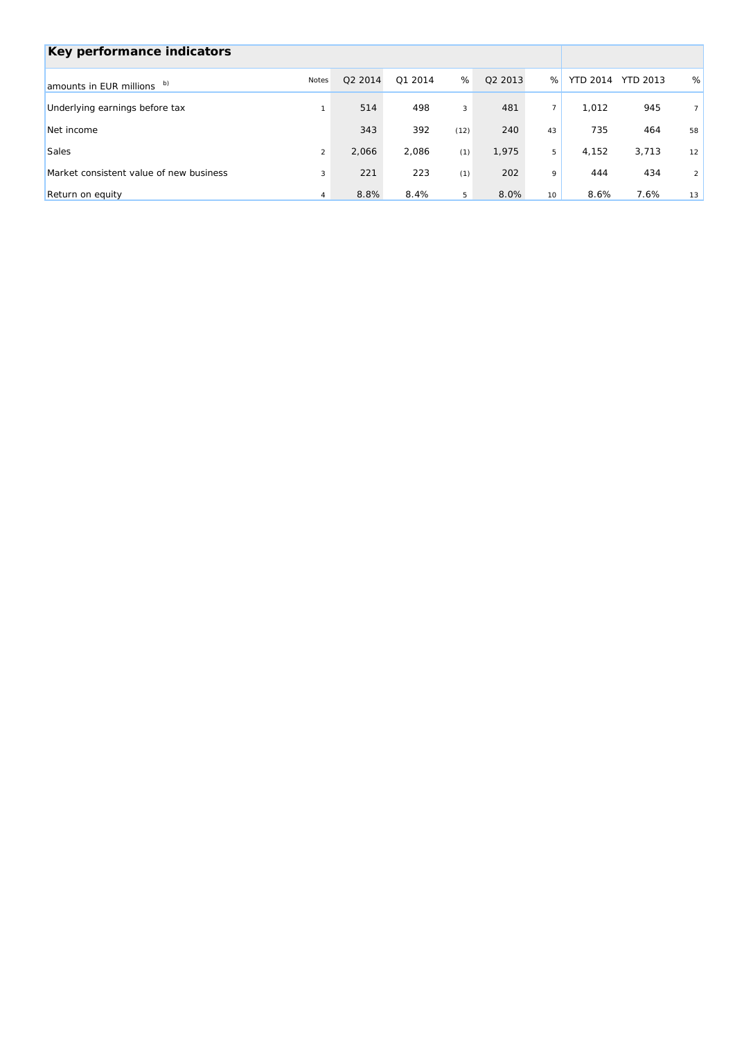| Key performance indicators              |                |         |         |      |         |    |                 |                 |                |
|-----------------------------------------|----------------|---------|---------|------|---------|----|-----------------|-----------------|----------------|
| amounts in EUR millions b)              | Notes          | Q2 2014 | Q1 2014 | %    | Q2 2013 | %  | <b>YTD 2014</b> | <b>YTD 2013</b> | %              |
| Underlying earnings before tax          |                | 514     | 498     | 3    | 481     | 7  | 1,012           | 945             | $\overline{7}$ |
| Net income                              |                | 343     | 392     | (12) | 240     | 43 | 735             | 464             | 58             |
| <b>Sales</b>                            | $\overline{2}$ | 2,066   | 2.086   | (1)  | 1,975   | 5  | 4,152           | 3,713           | 12             |
| Market consistent value of new business | 3              | 221     | 223     | (1)  | 202     | 9  | 444             | 434             | $\overline{a}$ |
| Return on equity                        | $\overline{4}$ | 8.8%    | 8.4%    | 5    | 8.0%    | 10 | 8.6%            | 7.6%            | 13             |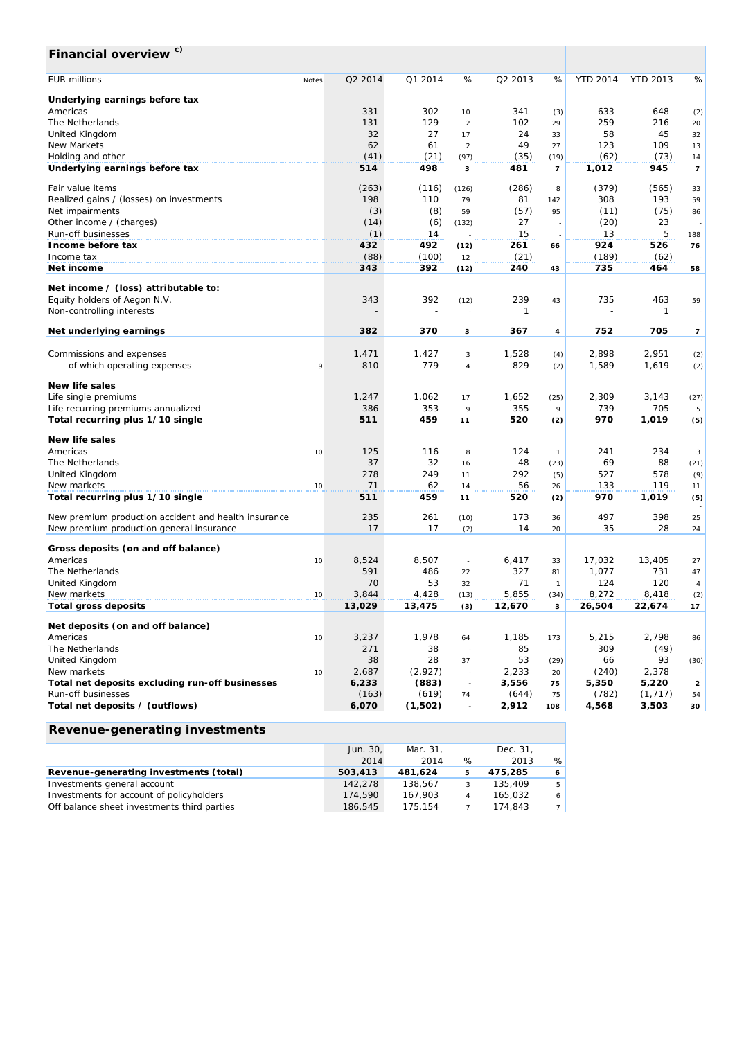| Financial overview <sup>c)</sup>                     |       |         |         |                |         |                  |                 |                 |                |
|------------------------------------------------------|-------|---------|---------|----------------|---------|------------------|-----------------|-----------------|----------------|
| <b>EUR</b> millions                                  | Notes | Q2 2014 | Q1 2014 | %              | Q2 2013 | %                | <b>YTD 2014</b> | <b>YTD 2013</b> | %              |
| Underlying earnings before tax                       |       |         |         |                |         |                  |                 |                 |                |
| Americas                                             |       | 331     | 302     | 10             | 341     | (3)              | 633             | 648             |                |
| The Netherlands                                      |       | 131     | 129     | $\overline{c}$ | 102     |                  | 259             | 216             | (2)            |
|                                                      |       | 32      | 27      | 17             | 24      | 29<br>33         | 58              | 45              | 20<br>32       |
| United Kingdom                                       |       | 62      | 61      |                | 49      |                  | 123             | 109             |                |
| New Markets                                          |       |         |         | $\overline{a}$ |         | 27               |                 |                 | 13             |
| Holding and other                                    |       | (41)    | (21)    | (97)           | (35)    | (19)             | (62)            | (73)            | 14             |
| Underlying earnings before tax                       |       | 514     | 498     | 3              | 481     | 7                | 1,012           | 945             | $\overline{z}$ |
| Fair value items                                     |       | (263)   | (116)   | (126)          | (286)   | 8                | (379)           | (565)           | 33             |
| Realized gains / (losses) on investments             |       | 198     | 110     | 79             | 81      | 142              | 308             | 193             | 59             |
| Net impairments                                      |       | (3)     | (8)     | 59             | (57)    | 95               | (11)            | (75)            | 86             |
| Other income / (charges)                             |       | (14)    | (6)     | (132)          | 27      |                  | (20)            | 23              |                |
| Run-off businesses                                   |       | (1)     | 14      |                | 15      |                  | 13              | 5               | 188            |
| Income before tax                                    |       | 432     | 492     | (12)           | 261     | 66               | 924             | 526             | 76             |
| Income tax                                           |       | (88)    | (100)   | 12             | (21)    |                  | (189)           | (62)            |                |
| Net income                                           |       | 343     | 392     | (12)           | 240     | 43               | 735             | 464             | 58             |
|                                                      |       |         |         |                |         |                  |                 |                 |                |
| Net income / (loss) attributable to:                 |       |         |         |                |         |                  |                 |                 |                |
| Equity holders of Aegon N.V.                         |       | 343     | 392     | (12)           | 239     | 43               | 735             | 463             | 59             |
| Non-controlling interests                            |       |         |         |                | 1       |                  |                 | 1               |                |
| Net underlying earnings                              |       | 382     | 370     | 3              | 367     | $\boldsymbol{4}$ | 752             | 705             | $\overline{7}$ |
| Commissions and expenses                             |       | 1,471   | 1,427   | 3              | 1,528   | (4)              | 2,898           | 2,951           | (2)            |
| of which operating expenses                          | 9     | 810     | 779     | $\overline{4}$ | 829     | (2)              | 1,589           | 1,619           | (2)            |
| <b>New life sales</b>                                |       |         |         |                |         |                  |                 |                 |                |
| Life single premiums                                 |       | 1,247   | 1,062   | 17             | 1,652   | (25)             | 2,309           | 3,143           |                |
| Life recurring premiums annualized                   |       | 386     | 353     | 9              | 355     | 9                | 739             | 705             | (27)<br>5      |
| Total recurring plus 1/10 single                     |       | 511     | 459     | 11             | 520     | (2)              | 970             | 1,019           | (5)            |
|                                                      |       |         |         |                |         |                  |                 |                 |                |
| <b>New life sales</b>                                |       |         |         |                |         |                  |                 |                 |                |
| Americas                                             | 10    | 125     | 116     | 8              | 124     | $\mathcal{I}$    | 241             | 234             | 3              |
| The Netherlands                                      |       | 37      | 32      | 16             | 48      | (23)             | 69              | 88              | (21)           |
| United Kingdom                                       |       | 278     | 249     | 11             | 292     | (5)              | 527             | 578             | (9)            |
| New markets                                          | 10    | 71      | 62      | 14             | 56      | 26               | 133             | 119             | 11             |
| Total recurring plus 1/10 single                     |       | 511     | 459     | 11             | 520     | (2)              | 970             | 1,019           | (5)            |
| New premium production accident and health insurance |       | 235     | 261     | (10)           | 173     | 36               | 497             | 398             | 25             |
| New premium production general insurance             |       | 17      | 17      | (2)            | 14      | 20               | 35              | 28              | 24             |
|                                                      |       |         |         |                |         |                  |                 |                 |                |
| Gross deposits (on and off balance)                  |       |         |         |                |         |                  |                 |                 |                |
| Americas                                             | 10    | 8,524   | 8,507   | ÷,             | 6,417   | 33               | 17,032          | 13,405          | 27             |
| The Netherlands                                      |       | 591     | 486     | 22             | 327     | 81               | 1,077           | 731             | 47             |
| United Kingdom                                       |       | 70      | 53      | 32             | 71      | $\mathcal{I}$    | 124             | 120             | $\overline{4}$ |
| New markets                                          | 10    | 3.844   | 4.428   | (13)           | 5.855   | (34)             | 8.272           | 8.418           | (2)            |
| <b>Total gross deposits</b>                          |       | 13,029  | 13,475  | (3)            | 12,670  | 3                | 26,504          | 22,674          | 17             |
| Net deposits (on and off balance)                    |       |         |         |                |         |                  |                 |                 |                |
| Americas                                             | 10    | 3,237   | 1,978   | 64             | 1,185   | 173              | 5,215           | 2,798           | 86             |
| The Netherlands                                      |       | 271     | 38      |                | 85      |                  | 309             | (49)            |                |
| <b>United Kingdom</b>                                |       | 38      | 28      | 37             | 53      | (29)             | 66              | 93              | (30)           |
| New markets                                          |       | 2,687   | (2,927) |                | 2,233   |                  | (240)           | 2,378           |                |
| Total net deposits excluding run-off businesses      | 10    |         |         |                |         | 20               |                 |                 |                |
| Run-off businesses                                   |       | 6,233   | (883)   | $\overline{a}$ | 3,556   | 75               | 5,350<br>(782)  | 5,220           | $\overline{a}$ |
| Total net deposits / (outflows)                      |       | (163)   | (619)   | 74             | (644)   | 75               |                 | (1, 717)        | 54             |
|                                                      |       | 6,070   | (1,502) |                | 2,912   | 108              | 4,568           | 3,503           | 30             |

|                                             | Jun. 30. | Mar. 31. |      | Dec. 31, |   |
|---------------------------------------------|----------|----------|------|----------|---|
|                                             | 2014     | 2014     | $\%$ | 2013     | % |
| Revenue-generating investments (total)      | 503,413  | 481.624  | 5    | 475,285  | 6 |
| Investments general account                 | 142.278  | 138.567  |      | 135,409  | 5 |
| Investments for account of policyholders    | 174.590  | 167.903  | 4    | 165.032  | 6 |
| Off balance sheet investments third parties | 186.545  | 175.154  |      | 174.843  |   |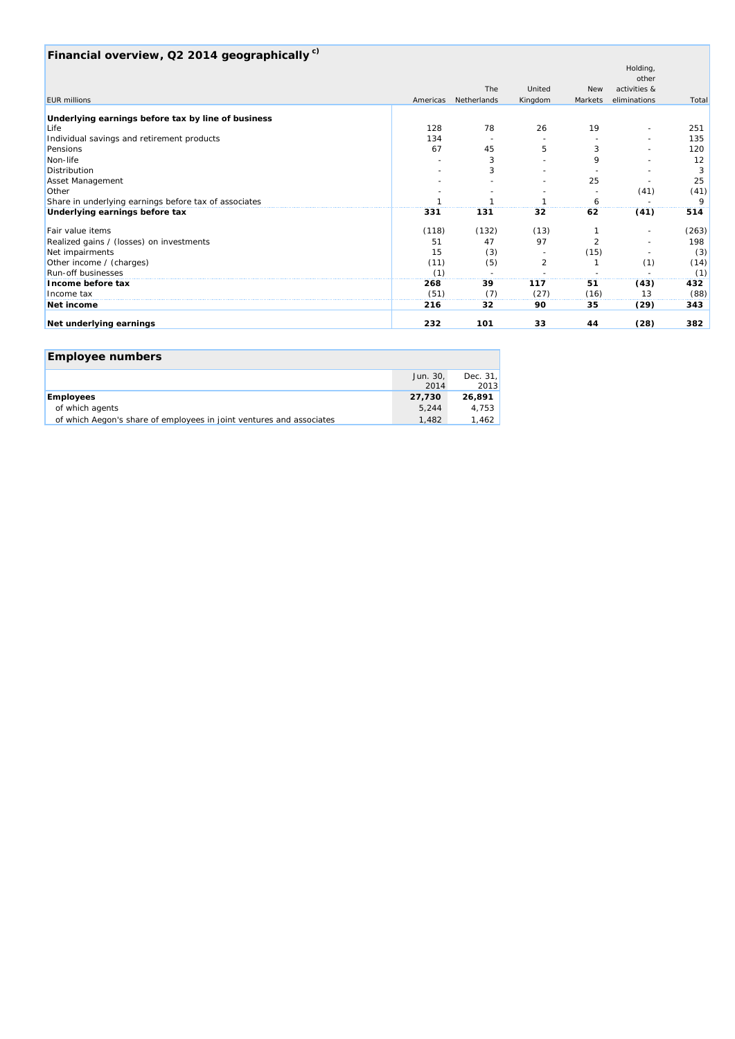| Financial overview, Q2 2014 geographically $^{\circ}$ $^{\circ}$ |  |  |  |  |
|------------------------------------------------------------------|--|--|--|--|
|------------------------------------------------------------------|--|--|--|--|

|                                                       |          |             |                |            | Holding,<br>other |       |
|-------------------------------------------------------|----------|-------------|----------------|------------|-------------------|-------|
|                                                       |          | The         | United         | <b>New</b> | activities &      |       |
| <b>EUR</b> millions                                   | Americas | Netherlands | Kingdom        | Markets    | eliminations      | Total |
| Underlying earnings before tax by line of business    |          |             |                |            |                   |       |
| Life                                                  | 128      | 78          | 26             | 19         |                   | 251   |
| Individual savings and retirement products            | 134      |             |                |            |                   | 135   |
| Pensions                                              | 67       | 45          | 5              | 3          |                   | 120   |
| Non-life                                              |          | 3           |                |            |                   | 12    |
| Distribution                                          |          | 3           |                |            |                   | 3     |
| <b>Asset Management</b>                               |          |             |                | 25         |                   | 25    |
| Other                                                 |          |             |                |            | (41)              | (41)  |
| Share in underlying earnings before tax of associates |          |             |                |            |                   |       |
| Underlying earnings before tax                        | 331      | 131         | 32             | 62         | (41)              | 514   |
| Fair value items                                      | (118)    | (132)       | (13)           |            |                   | (263) |
| Realized gains / (losses) on investments              | 51       | 47          | 97             |            |                   | 198   |
| Net impairments                                       | 15       | (3)         |                | (15)       |                   | (3)   |
| Other income / (charges)                              | (11)     | (5)         | $\overline{2}$ |            | (1)               | (14)  |
| Run-off businesses                                    | (1)      |             |                |            |                   | (1)   |
| Income before tax                                     | 268      | 39          | 117            | 51         | (43)              | 432   |
| Income tax                                            | (51)     | (7)         | (27)           | (16)       | 13                | (88)  |
| Net income                                            | 216      | 32          | 90             | 35         | (29)              | 343   |
| Net underlying earnings                               | 232      | 101         | 33             | 44         | (28)              | 382   |

# **Employee numbers**

|                                                                      | Jun. 30.<br>2014 | Dec. 31.<br>2013 |
|----------------------------------------------------------------------|------------------|------------------|
| <b>Employees</b>                                                     | 27.730           | 26.891           |
| of which agents                                                      | 5.244            | 4.753            |
| of which Aegon's share of employees in joint ventures and associates | 1.482            | 1.462            |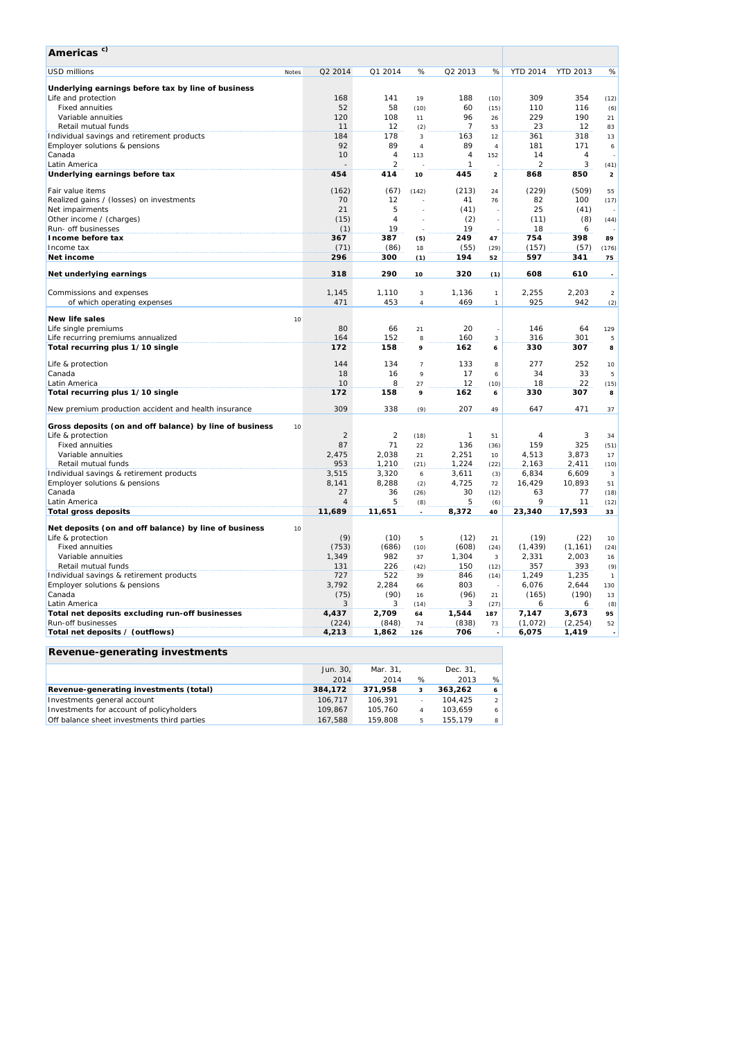| Americas <sup>c)</sup>                                  |       |                |                |                          |                |                            |                 |                 |                         |
|---------------------------------------------------------|-------|----------------|----------------|--------------------------|----------------|----------------------------|-----------------|-----------------|-------------------------|
| <b>USD millions</b>                                     | Notes | Q2 2014        | Q1 2014        | %                        | Q2 2013        | %                          | <b>YTD 2014</b> | <b>YTD 2013</b> | %                       |
| Underlying earnings before tax by line of business      |       |                |                |                          |                |                            |                 |                 |                         |
| Life and protection                                     |       | 168            | 141            | 19                       | 188            | (10)                       | 309             | 354             | (12)                    |
| <b>Fixed annuities</b>                                  |       | 52             | 58             | (10)                     | 60             | (15)                       | 110             | 116             | (6)                     |
| Variable annuities                                      |       | 120            | 108            | 11                       | 96             | 26                         | 229             | 190             | 21                      |
| Retail mutual funds                                     |       | 11             | 12             | (2)                      | $\overline{7}$ | 53                         | 23              | 12              | 83                      |
| Individual savings and retirement products              |       | 184            | 178            | $\mathcal{Z}$            | 163            | 12                         | 361             | 318             | 13                      |
| Employer solutions & pensions                           |       | 92             | 89             | $\overline{A}$           | 89             | $\sqrt{4}$                 | 181             | 171             | 6                       |
| Canada                                                  |       | 10             | 4              | 113                      | $\overline{4}$ | 152                        | 14              | $\overline{4}$  |                         |
| Latin America                                           |       |                | $\overline{2}$ |                          | 1              |                            | 2               | 3               | (41)                    |
| Underlying earnings before tax                          |       | 454            | 414            | 10                       | 445            | $\boldsymbol{2}$           | 868             | 850             | $\overline{\mathbf{z}}$ |
| Fair value items                                        |       | (162)          | (67)           | (142)                    | (213)          | 24                         | (229)           | (509)           | 55                      |
| Realized gains / (losses) on investments                |       | 70             | 12             |                          | 41             | 76                         | 82              | 100             | (17)                    |
| Net impairments                                         |       | 21             | 5              |                          | (41)           |                            | 25              | (41)            |                         |
| Other income / (charges)                                |       | (15)           | $\overline{4}$ |                          | (2)            |                            | (11)            | (8)             | (44)                    |
| Run- off businesses                                     |       | (1)            | 19             |                          | 19             |                            | 18              | 6               |                         |
| Income before tax                                       |       | 367            | 387            | (5)                      | 249            | 47                         | 754             | 398             | 89                      |
| Income tax                                              |       | (71)           | (86)           | 18                       | (55)           | (29)                       | (157)           | (57)            | (176)                   |
| Net income                                              |       | 296            | 300            | (1)                      | 194            | 52                         | 597             | 341             | 75                      |
| Net underlying earnings                                 |       | 318            | 290            | 10                       | 320            | (1)                        | 608             | 610             |                         |
| Commissions and expenses                                |       | 1,145          | 1,110          | $\mathcal{Z}$            | 1,136          | $\boldsymbol{\mathcal{I}}$ | 2,255           | 2,203           | $\overline{a}$          |
| of which operating expenses                             |       | 471            | 453            | $\overline{4}$           | 469            | $\boldsymbol{\eta}$        | 925             | 942             | (2)                     |
| New life sales                                          | 10    |                |                |                          |                |                            |                 |                 |                         |
| Life single premiums                                    |       | 80             | 66             |                          | 20             |                            | 146             | 64              |                         |
| Life recurring premiums annualized                      |       | 164            | 152            | 21<br>8                  | 160            | $\sqrt{3}$                 | 316             | 301             | 129<br>5                |
| Total recurring plus 1/10 single                        |       | 172            | 158            | 9                        | 162            | 6                          | 330             | 307             | 8                       |
|                                                         |       |                |                |                          |                |                            |                 |                 |                         |
| Life & protection                                       |       | 144            | 134            | $\overline{7}$           | 133            | 8                          | 277             | 252             | 10                      |
| Canada                                                  |       | 18             | 16             | 9                        | 17             | 6                          | 34              | 33              | 5                       |
| Latin America                                           |       | 10             | 8              | 27                       | 12             | (10)                       | 18              | 22              | (15)                    |
| Total recurring plus 1/10 single                        |       | 172            | 158            | 9                        | 162            | 6                          | 330             | 307             | 8                       |
| New premium production accident and health insurance    |       | 309            | 338            | (9)                      | 207            | 49                         | 647             | 471             | 37                      |
| Gross deposits (on and off balance) by line of business | 10    |                |                |                          |                |                            |                 |                 |                         |
| Life & protection                                       |       | $\overline{2}$ | $\overline{2}$ | (18)                     | $\mathbf{1}$   | 51                         | $\overline{4}$  | 3               | 34                      |
| <b>Fixed annuities</b>                                  |       | 87             | 71             | 22                       | 136            | (36)                       | 159             | 325             | (51)                    |
| Variable annuities                                      |       | 2,475          | 2,038          | 21                       | 2,251          | 10                         | 4,513           | 3,873           | 17                      |
| Retail mutual funds                                     |       | 953            | 1,210          | (21)                     | 1,224          | (22)                       | 2,163           | 2,411           | (10)                    |
| Individual savings & retirement products                |       | 3,515          | 3,320          | 6                        | 3,611          | (3)                        | 6,834           | 6,609           | $\sqrt{3}$              |
| Employer solutions & pensions                           |       | 8,141          | 8,288          | (2)                      | 4,725          | 72                         | 16,429          | 10,893          | 51                      |
| Canada                                                  |       | 27             | 36             | (26)                     | 30             | (12)                       | 63              | 77              | (18)                    |
| Latin America                                           |       | $\overline{4}$ | 5              | (8)                      | 5              | (6)                        | 9               | 11              | (12)                    |
| <b>Total gross deposits</b>                             |       | 11,689         | 11,651         | $\overline{\phantom{a}}$ | 8,372          | 40                         | 23,340          | 17,593          | 33                      |
| Net deposits (on and off balance) by line of business   | 10    |                |                |                          |                |                            |                 |                 |                         |
| Life & protection                                       |       | (9)            | (10)           | 5                        | (12)           | 21                         | (19)            | (22)            | 10                      |
| <b>Fixed annuities</b>                                  |       | (753)          | (686)          | (10)                     | (608)          | (24)                       | (1, 439)        | (1, 161)        | (24)                    |
| Variable annuities                                      |       | 1,349          | 982            | 37                       | 1,304          | $\sqrt{3}$                 | 2,331           | 2,003           | 16                      |
| Retail mutual funds                                     |       | 131            | 226            | (42)                     | 150            | (12)                       | 357             | 393             | (9)                     |
| Individual savings & retirement products                |       | 727            | 522            | 39                       | 846            | (14)                       | 1,249           | 1,235           | $\it 1$                 |
| Employer solutions & pensions                           |       | 3,792          | 2,284          | 66                       | 803            |                            | 6,076           | 2,644           | 130                     |
| Canada                                                  |       | (75)           | (90)           | 16                       | (96)           | 21                         | (165)           | (190)           | $13\,$                  |
| Latin America                                           |       | 3              | 3              | (14)                     | 3              | (27)                       | 6               | 6               | (8)                     |
| Total net deposits excluding run-off businesses         |       | 4,437          | 2,709          | 64                       | 1,544          | 187                        | 7,147           | 3,673           | 95                      |
| Run-off businesses                                      |       | (224)          | (848)          | 74                       | (838)          | 73                         | (1,072)         | (2, 254)        | 52                      |
| Total net deposits / (outflows)                         |       | 4,213          | 1,862          | 126                      | 706            |                            | 6,075           | 1,419           |                         |
|                                                         |       |                |                |                          |                |                            |                 |                 |                         |
| Revenue-generating investments                          |       |                |                |                          |                |                            |                 |                 |                         |

| .                                           |          |          |   |          |                          |
|---------------------------------------------|----------|----------|---|----------|--------------------------|
|                                             | Jun. 30. | Mar. 31. |   | Dec. 31. |                          |
|                                             | 2014     | 2014     | % | 2013     | %                        |
| Revenue-generating investments (total)      | 384,172  | 371,958  | 3 | 363,262  | 6                        |
| Investments general account                 | 106.717  | 106.391  |   | 104.425  | $\overline{\phantom{a}}$ |
| Investments for account of policyholders    | 109.867  | 105,760  | 4 | 103.659  | 6                        |
| Off balance sheet investments third parties | 167.588  | 159.808  |   | 155.179  | 8                        |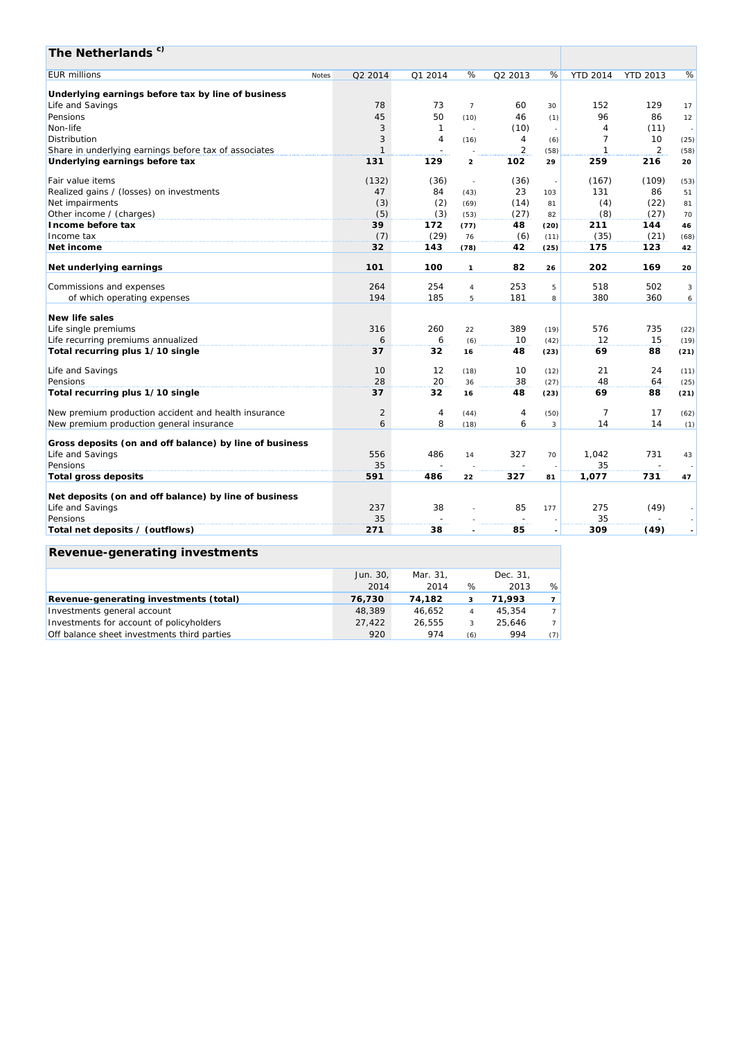| The Netherlands <sup>c)</sup>                           |              |         |         |                          |         |      |                 |                 |        |
|---------------------------------------------------------|--------------|---------|---------|--------------------------|---------|------|-----------------|-----------------|--------|
| <b>EUR</b> millions                                     | <b>Notes</b> | Q2 2014 | Q1 2014 | %                        | Q2 2013 | %    | <b>YTD 2014</b> | <b>YTD 2013</b> | %      |
| Underlying earnings before tax by line of business      |              |         |         |                          |         |      |                 |                 |        |
| Life and Savings                                        |              | 78      | 73      | $\overline{7}$           | 60      | 30   | 152             | 129             | 17     |
| Pensions                                                |              | 45      | 50      | (10)                     | 46      | (1)  | 96              | 86              | 12     |
| Non-life                                                |              | 3       | 1       | ÷.                       | (10)    |      | 4               | (11)            | $\sim$ |
| Distribution                                            |              | 3       | 4       | (16)                     | 4       | (6)  | 7               | 10              | (25)   |
| Share in underlying earnings before tax of associates   |              | 1       |         |                          | 2       | (58) | 1               | 2               | (58)   |
| Underlying earnings before tax                          |              | 131     | 129     | $\overline{a}$           | 102     | 29   | 259             | 216             | 20     |
| Fair value items                                        |              | (132)   | (36)    | $\overline{\phantom{a}}$ | (36)    |      | (167)           | (109)           | (53)   |
| Realized gains / (losses) on investments                |              | 47      | 84      | (43)                     | 23      | 103  | 131             | 86              | 51     |
| Net impairments                                         |              | (3)     | (2)     | (69)                     | (14)    | 81   | (4)             | (22)            | 81     |
| Other income / (charges)                                |              | (5)     | (3)     | (53)                     | (27)    | 82   | (8)             | (27)            | 70     |
| Income before tax                                       |              | 39      | 172     | (77)                     | 48      | (20) | 211             | 144             | 46     |
| Income tax                                              |              | (7)     | (29)    | 76                       | (6)     | (11) | (35)            | (21)            | (68)   |
| Net income                                              |              | 32      | 143     | (78)                     | 42      | (25) | 175             | 123             | 42     |
| Net underlying earnings                                 |              | 101     | 100     | $\mathbf{1}$             | 82      | 26   | 202             | 169             | 20     |
| Commissions and expenses                                |              | 264     | 254     | $\overline{4}$           | 253     | 5    | 518             | 502             | 3      |
| of which operating expenses                             |              | 194     | 185     | 5                        | 181     | 8    | 380             | 360             | 6      |
| <b>New life sales</b>                                   |              |         |         |                          |         |      |                 |                 |        |
| Life single premiums                                    |              | 316     | 260     | 22                       | 389     | (19) | 576             | 735             | (22)   |
| Life recurring premiums annualized                      |              | 6       | 6       | (6)                      | 10      | (42) | 12              | 15              | (19)   |
| Total recurring plus 1/10 single                        |              | 37      | 32      | 16                       | 48      | (23) | 69              | 88              | (21)   |
| Life and Savings                                        |              | 10      | 12      | (18)                     | 10      | (12) | 21              | 24              | (11)   |
| Pensions                                                |              | 28      | 20      | 36                       | 38      | (27) | 48              | 64              | (25)   |
| Total recurring plus 1/10 single                        |              | 37      | 32      | 16                       | 48      | (23) | 69              | 88              | (21)   |
| New premium production accident and health insurance    |              | 2       | 4       | (44)                     | 4       | (50) | 7               | 17              | (62)   |
| New premium production general insurance                |              | 6       | 8       | (18)                     | 6       | 3    | 14              | 14              | (1)    |
| Gross deposits (on and off balance) by line of business |              |         |         |                          |         |      |                 |                 |        |
| Life and Savings                                        |              | 556     | 486     | 14                       | 327     | 70   | 1,042           | 731             | 43     |
| Pensions                                                |              | 35      |         |                          |         |      | 35              |                 |        |
| <b>Total gross deposits</b>                             |              | 591     | 486     | 22                       | 327     | 81   | 1,077           | 731             | 47     |
| Net deposits (on and off balance) by line of business   |              |         |         |                          |         |      |                 |                 |        |
| Life and Savings                                        |              | 237     | 38      |                          | 85      | 177  | 275             | (49)            |        |
| Pensions                                                |              | 35      |         |                          |         |      | 35              |                 |        |
| Total net deposits / (outflows)                         |              | 271     | 38      |                          | 85      |      | 309             | (49)            |        |

|                                             | Jun. 30. | Mar. 31. |                | Dec. 31. |                |
|---------------------------------------------|----------|----------|----------------|----------|----------------|
|                                             | 2014     | 2014     | %              | 2013     | %              |
| Revenue-generating investments (total)      | 76,730   | 74.182   | 3              | 71.993   | 7              |
| Investments general account                 | 48.389   | 46.652   | $\overline{4}$ | 45.354   | 7 <sup>1</sup> |
| Investments for account of policyholders    | 27.422   | 26.555   | 3              | 25.646   | 7 <sup>1</sup> |
| Off balance sheet investments third parties | 920      | 974      | (6)            | 994      | (7)            |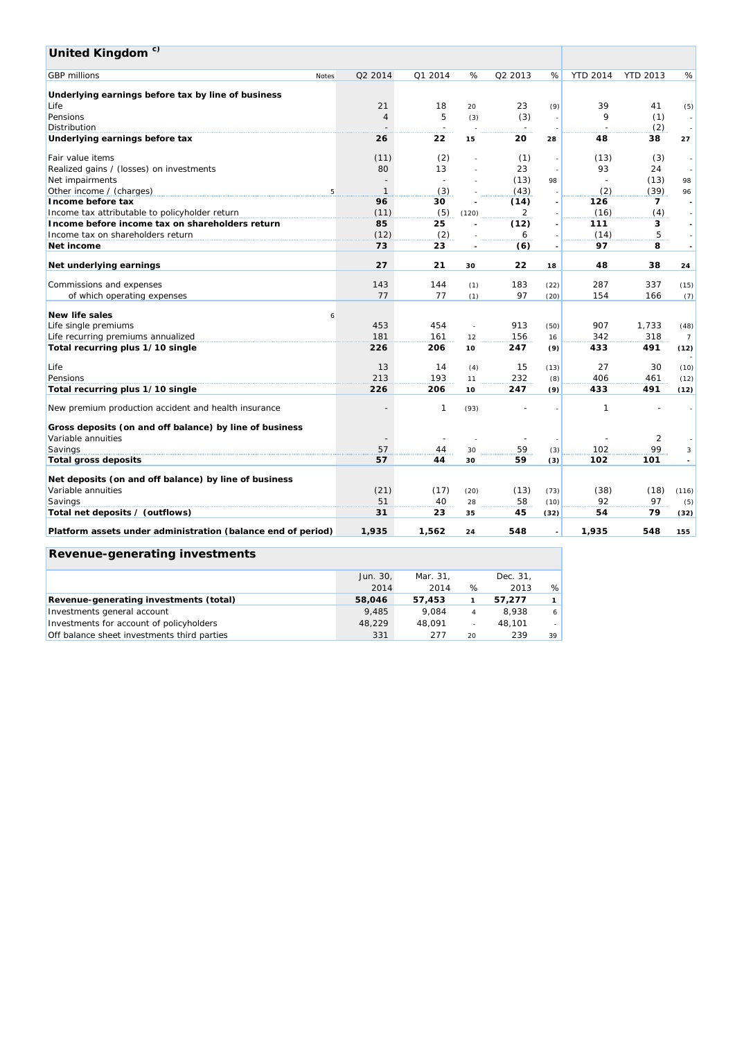| Q1 2014<br>Q2 2013<br><b>GBP</b> millions<br>Q2 2014<br>%<br><b>YTD 2014</b><br><b>YTD 2013</b><br>%<br>Notes<br>Underlying earnings before tax by line of business<br>Life<br>21<br>18<br>23<br>39<br>41<br>20<br>(9)<br>5<br>$\overline{4}$<br>9<br>(1)<br>Pensions<br>(3)<br>(3)<br>(2)<br>Distribution<br>Underlying earnings before tax<br>22<br>20<br>26<br>28<br>48<br>38<br>27<br>15<br>(2)<br>Fair value items<br>(11)<br>(1)<br>(13)<br>(3)<br>Realized gains / (losses) on investments<br>80<br>13<br>23<br>93<br>24<br>Net impairments<br>(13)<br>(13)<br>98<br>98<br>$\overline{\phantom{a}}$<br>$\mathbf{1}$<br>(3)<br>(43)<br>(2)<br>(39)<br>Other income / (charges)<br>5<br>96<br>Income before tax<br>30<br>(14)<br>96<br>126<br>$\overline{7}$<br>(11)<br>(5)<br>$\overline{2}$<br>(16)<br>Income tax attributable to policyholder return<br>(120)<br>(4)<br>Income before income tax on shareholders return<br>85<br>25<br>(12)<br>111<br>3<br>(12)<br>(2)<br>(14)<br>5<br>Income tax on shareholders return<br>6<br>73<br>23<br>97<br>8<br>(6)<br>Net income<br>27<br>22<br>38<br>Net underlying earnings<br>21<br>48<br>30<br>18<br>24<br>Commissions and expenses<br>143<br>144<br>183<br>287<br>337<br>(1)<br>(22)<br>77<br>77<br>97<br>of which operating expenses<br>154<br>166<br>(1)<br>(7)<br>(20)<br><b>New life sales</b><br>6<br>453<br>454<br>913<br>907<br>1,733<br>Life single premiums<br>(50)<br>Life recurring premiums annualized<br>181<br>156<br>342<br>318<br>161<br>$\overline{7}$<br>12<br>16<br>Total recurring plus 1/10 single<br>226<br>247<br>433<br>491<br>206<br>10<br>(9)<br>13<br>14<br>15<br>27<br>30<br>Life<br>(4)<br>(13)<br>213<br>193<br>232<br>406<br>Pensions<br>461<br>(8)<br>11<br>226<br>Total recurring plus 1/10 single<br>206<br>247<br>433<br>491<br>10<br>(9)<br>New premium production accident and health insurance<br>$\mathbf{1}$<br>1<br>(93)<br>Gross deposits (on and off balance) by line of business<br>Variable annuities<br>2<br>57<br>59<br>102<br>99<br>3<br>Savings<br>44<br>30<br>(3)<br>59<br>102<br><b>Total gross deposits</b><br>57<br>44<br>101<br>30<br>(3)<br>$\overline{\phantom{a}}$<br>Net deposits (on and off balance) by line of business<br>Variable annuities<br>(21)<br>(17)<br>(13)<br>(38)<br>(18)<br>(20)<br>(73)<br>(116)<br>58<br>92<br>97<br>Savings<br>51<br>40<br>28<br>(10)<br>(5)<br>Total net deposits / (outflows)<br>31<br>23<br>45<br>54<br>79<br>35<br>(32) | United Kingdom <sup>c)</sup>                                 |       |       |    |     |       |     |                          |
|--------------------------------------------------------------------------------------------------------------------------------------------------------------------------------------------------------------------------------------------------------------------------------------------------------------------------------------------------------------------------------------------------------------------------------------------------------------------------------------------------------------------------------------------------------------------------------------------------------------------------------------------------------------------------------------------------------------------------------------------------------------------------------------------------------------------------------------------------------------------------------------------------------------------------------------------------------------------------------------------------------------------------------------------------------------------------------------------------------------------------------------------------------------------------------------------------------------------------------------------------------------------------------------------------------------------------------------------------------------------------------------------------------------------------------------------------------------------------------------------------------------------------------------------------------------------------------------------------------------------------------------------------------------------------------------------------------------------------------------------------------------------------------------------------------------------------------------------------------------------------------------------------------------------------------------------------------------------------------------------------------------------------------------------------------------------------------------------------------------------------------------------------------------------------------------------------------------------------------------------------------------------------------------------------------------------------------------------------------------------------------------------------------------------------------------------------------------------------------|--------------------------------------------------------------|-------|-------|----|-----|-------|-----|--------------------------|
|                                                                                                                                                                                                                                                                                                                                                                                                                                                                                                                                                                                                                                                                                                                                                                                                                                                                                                                                                                                                                                                                                                                                                                                                                                                                                                                                                                                                                                                                                                                                                                                                                                                                                                                                                                                                                                                                                                                                                                                                                                                                                                                                                                                                                                                                                                                                                                                                                                                                                |                                                              |       |       |    |     |       |     | %                        |
|                                                                                                                                                                                                                                                                                                                                                                                                                                                                                                                                                                                                                                                                                                                                                                                                                                                                                                                                                                                                                                                                                                                                                                                                                                                                                                                                                                                                                                                                                                                                                                                                                                                                                                                                                                                                                                                                                                                                                                                                                                                                                                                                                                                                                                                                                                                                                                                                                                                                                |                                                              |       |       |    |     |       |     |                          |
|                                                                                                                                                                                                                                                                                                                                                                                                                                                                                                                                                                                                                                                                                                                                                                                                                                                                                                                                                                                                                                                                                                                                                                                                                                                                                                                                                                                                                                                                                                                                                                                                                                                                                                                                                                                                                                                                                                                                                                                                                                                                                                                                                                                                                                                                                                                                                                                                                                                                                |                                                              |       |       |    |     |       |     | (5)                      |
|                                                                                                                                                                                                                                                                                                                                                                                                                                                                                                                                                                                                                                                                                                                                                                                                                                                                                                                                                                                                                                                                                                                                                                                                                                                                                                                                                                                                                                                                                                                                                                                                                                                                                                                                                                                                                                                                                                                                                                                                                                                                                                                                                                                                                                                                                                                                                                                                                                                                                |                                                              |       |       |    |     |       |     | $\sim$ 1                 |
|                                                                                                                                                                                                                                                                                                                                                                                                                                                                                                                                                                                                                                                                                                                                                                                                                                                                                                                                                                                                                                                                                                                                                                                                                                                                                                                                                                                                                                                                                                                                                                                                                                                                                                                                                                                                                                                                                                                                                                                                                                                                                                                                                                                                                                                                                                                                                                                                                                                                                |                                                              |       |       |    |     |       |     |                          |
|                                                                                                                                                                                                                                                                                                                                                                                                                                                                                                                                                                                                                                                                                                                                                                                                                                                                                                                                                                                                                                                                                                                                                                                                                                                                                                                                                                                                                                                                                                                                                                                                                                                                                                                                                                                                                                                                                                                                                                                                                                                                                                                                                                                                                                                                                                                                                                                                                                                                                |                                                              |       |       |    |     |       |     |                          |
|                                                                                                                                                                                                                                                                                                                                                                                                                                                                                                                                                                                                                                                                                                                                                                                                                                                                                                                                                                                                                                                                                                                                                                                                                                                                                                                                                                                                                                                                                                                                                                                                                                                                                                                                                                                                                                                                                                                                                                                                                                                                                                                                                                                                                                                                                                                                                                                                                                                                                |                                                              |       |       |    |     |       |     |                          |
|                                                                                                                                                                                                                                                                                                                                                                                                                                                                                                                                                                                                                                                                                                                                                                                                                                                                                                                                                                                                                                                                                                                                                                                                                                                                                                                                                                                                                                                                                                                                                                                                                                                                                                                                                                                                                                                                                                                                                                                                                                                                                                                                                                                                                                                                                                                                                                                                                                                                                |                                                              |       |       |    |     |       |     | $\sim$                   |
|                                                                                                                                                                                                                                                                                                                                                                                                                                                                                                                                                                                                                                                                                                                                                                                                                                                                                                                                                                                                                                                                                                                                                                                                                                                                                                                                                                                                                                                                                                                                                                                                                                                                                                                                                                                                                                                                                                                                                                                                                                                                                                                                                                                                                                                                                                                                                                                                                                                                                |                                                              |       |       |    |     |       |     |                          |
|                                                                                                                                                                                                                                                                                                                                                                                                                                                                                                                                                                                                                                                                                                                                                                                                                                                                                                                                                                                                                                                                                                                                                                                                                                                                                                                                                                                                                                                                                                                                                                                                                                                                                                                                                                                                                                                                                                                                                                                                                                                                                                                                                                                                                                                                                                                                                                                                                                                                                |                                                              |       |       |    |     |       |     |                          |
|                                                                                                                                                                                                                                                                                                                                                                                                                                                                                                                                                                                                                                                                                                                                                                                                                                                                                                                                                                                                                                                                                                                                                                                                                                                                                                                                                                                                                                                                                                                                                                                                                                                                                                                                                                                                                                                                                                                                                                                                                                                                                                                                                                                                                                                                                                                                                                                                                                                                                |                                                              |       |       |    |     |       |     |                          |
|                                                                                                                                                                                                                                                                                                                                                                                                                                                                                                                                                                                                                                                                                                                                                                                                                                                                                                                                                                                                                                                                                                                                                                                                                                                                                                                                                                                                                                                                                                                                                                                                                                                                                                                                                                                                                                                                                                                                                                                                                                                                                                                                                                                                                                                                                                                                                                                                                                                                                |                                                              |       |       |    |     |       |     |                          |
|                                                                                                                                                                                                                                                                                                                                                                                                                                                                                                                                                                                                                                                                                                                                                                                                                                                                                                                                                                                                                                                                                                                                                                                                                                                                                                                                                                                                                                                                                                                                                                                                                                                                                                                                                                                                                                                                                                                                                                                                                                                                                                                                                                                                                                                                                                                                                                                                                                                                                |                                                              |       |       |    |     |       |     |                          |
|                                                                                                                                                                                                                                                                                                                                                                                                                                                                                                                                                                                                                                                                                                                                                                                                                                                                                                                                                                                                                                                                                                                                                                                                                                                                                                                                                                                                                                                                                                                                                                                                                                                                                                                                                                                                                                                                                                                                                                                                                                                                                                                                                                                                                                                                                                                                                                                                                                                                                |                                                              |       |       |    |     |       |     |                          |
|                                                                                                                                                                                                                                                                                                                                                                                                                                                                                                                                                                                                                                                                                                                                                                                                                                                                                                                                                                                                                                                                                                                                                                                                                                                                                                                                                                                                                                                                                                                                                                                                                                                                                                                                                                                                                                                                                                                                                                                                                                                                                                                                                                                                                                                                                                                                                                                                                                                                                |                                                              |       |       |    |     |       |     | $\overline{\phantom{a}}$ |
|                                                                                                                                                                                                                                                                                                                                                                                                                                                                                                                                                                                                                                                                                                                                                                                                                                                                                                                                                                                                                                                                                                                                                                                                                                                                                                                                                                                                                                                                                                                                                                                                                                                                                                                                                                                                                                                                                                                                                                                                                                                                                                                                                                                                                                                                                                                                                                                                                                                                                |                                                              |       |       |    |     |       |     |                          |
|                                                                                                                                                                                                                                                                                                                                                                                                                                                                                                                                                                                                                                                                                                                                                                                                                                                                                                                                                                                                                                                                                                                                                                                                                                                                                                                                                                                                                                                                                                                                                                                                                                                                                                                                                                                                                                                                                                                                                                                                                                                                                                                                                                                                                                                                                                                                                                                                                                                                                |                                                              |       |       |    |     |       |     |                          |
|                                                                                                                                                                                                                                                                                                                                                                                                                                                                                                                                                                                                                                                                                                                                                                                                                                                                                                                                                                                                                                                                                                                                                                                                                                                                                                                                                                                                                                                                                                                                                                                                                                                                                                                                                                                                                                                                                                                                                                                                                                                                                                                                                                                                                                                                                                                                                                                                                                                                                |                                                              |       |       |    |     |       |     | (15)                     |
|                                                                                                                                                                                                                                                                                                                                                                                                                                                                                                                                                                                                                                                                                                                                                                                                                                                                                                                                                                                                                                                                                                                                                                                                                                                                                                                                                                                                                                                                                                                                                                                                                                                                                                                                                                                                                                                                                                                                                                                                                                                                                                                                                                                                                                                                                                                                                                                                                                                                                |                                                              |       |       |    |     |       |     |                          |
|                                                                                                                                                                                                                                                                                                                                                                                                                                                                                                                                                                                                                                                                                                                                                                                                                                                                                                                                                                                                                                                                                                                                                                                                                                                                                                                                                                                                                                                                                                                                                                                                                                                                                                                                                                                                                                                                                                                                                                                                                                                                                                                                                                                                                                                                                                                                                                                                                                                                                |                                                              |       |       |    |     |       |     |                          |
|                                                                                                                                                                                                                                                                                                                                                                                                                                                                                                                                                                                                                                                                                                                                                                                                                                                                                                                                                                                                                                                                                                                                                                                                                                                                                                                                                                                                                                                                                                                                                                                                                                                                                                                                                                                                                                                                                                                                                                                                                                                                                                                                                                                                                                                                                                                                                                                                                                                                                |                                                              |       |       |    |     |       |     | (48)                     |
|                                                                                                                                                                                                                                                                                                                                                                                                                                                                                                                                                                                                                                                                                                                                                                                                                                                                                                                                                                                                                                                                                                                                                                                                                                                                                                                                                                                                                                                                                                                                                                                                                                                                                                                                                                                                                                                                                                                                                                                                                                                                                                                                                                                                                                                                                                                                                                                                                                                                                |                                                              |       |       |    |     |       |     |                          |
|                                                                                                                                                                                                                                                                                                                                                                                                                                                                                                                                                                                                                                                                                                                                                                                                                                                                                                                                                                                                                                                                                                                                                                                                                                                                                                                                                                                                                                                                                                                                                                                                                                                                                                                                                                                                                                                                                                                                                                                                                                                                                                                                                                                                                                                                                                                                                                                                                                                                                |                                                              |       |       |    |     |       |     | (12)                     |
|                                                                                                                                                                                                                                                                                                                                                                                                                                                                                                                                                                                                                                                                                                                                                                                                                                                                                                                                                                                                                                                                                                                                                                                                                                                                                                                                                                                                                                                                                                                                                                                                                                                                                                                                                                                                                                                                                                                                                                                                                                                                                                                                                                                                                                                                                                                                                                                                                                                                                |                                                              |       |       |    |     |       |     | (10)                     |
|                                                                                                                                                                                                                                                                                                                                                                                                                                                                                                                                                                                                                                                                                                                                                                                                                                                                                                                                                                                                                                                                                                                                                                                                                                                                                                                                                                                                                                                                                                                                                                                                                                                                                                                                                                                                                                                                                                                                                                                                                                                                                                                                                                                                                                                                                                                                                                                                                                                                                |                                                              |       |       |    |     |       |     | (12)                     |
|                                                                                                                                                                                                                                                                                                                                                                                                                                                                                                                                                                                                                                                                                                                                                                                                                                                                                                                                                                                                                                                                                                                                                                                                                                                                                                                                                                                                                                                                                                                                                                                                                                                                                                                                                                                                                                                                                                                                                                                                                                                                                                                                                                                                                                                                                                                                                                                                                                                                                |                                                              |       |       |    |     |       |     | (12)                     |
|                                                                                                                                                                                                                                                                                                                                                                                                                                                                                                                                                                                                                                                                                                                                                                                                                                                                                                                                                                                                                                                                                                                                                                                                                                                                                                                                                                                                                                                                                                                                                                                                                                                                                                                                                                                                                                                                                                                                                                                                                                                                                                                                                                                                                                                                                                                                                                                                                                                                                |                                                              |       |       |    |     |       |     |                          |
|                                                                                                                                                                                                                                                                                                                                                                                                                                                                                                                                                                                                                                                                                                                                                                                                                                                                                                                                                                                                                                                                                                                                                                                                                                                                                                                                                                                                                                                                                                                                                                                                                                                                                                                                                                                                                                                                                                                                                                                                                                                                                                                                                                                                                                                                                                                                                                                                                                                                                |                                                              |       |       |    |     |       |     |                          |
|                                                                                                                                                                                                                                                                                                                                                                                                                                                                                                                                                                                                                                                                                                                                                                                                                                                                                                                                                                                                                                                                                                                                                                                                                                                                                                                                                                                                                                                                                                                                                                                                                                                                                                                                                                                                                                                                                                                                                                                                                                                                                                                                                                                                                                                                                                                                                                                                                                                                                |                                                              |       |       |    |     |       |     |                          |
|                                                                                                                                                                                                                                                                                                                                                                                                                                                                                                                                                                                                                                                                                                                                                                                                                                                                                                                                                                                                                                                                                                                                                                                                                                                                                                                                                                                                                                                                                                                                                                                                                                                                                                                                                                                                                                                                                                                                                                                                                                                                                                                                                                                                                                                                                                                                                                                                                                                                                |                                                              |       |       |    |     |       |     |                          |
|                                                                                                                                                                                                                                                                                                                                                                                                                                                                                                                                                                                                                                                                                                                                                                                                                                                                                                                                                                                                                                                                                                                                                                                                                                                                                                                                                                                                                                                                                                                                                                                                                                                                                                                                                                                                                                                                                                                                                                                                                                                                                                                                                                                                                                                                                                                                                                                                                                                                                |                                                              |       |       |    |     |       |     |                          |
|                                                                                                                                                                                                                                                                                                                                                                                                                                                                                                                                                                                                                                                                                                                                                                                                                                                                                                                                                                                                                                                                                                                                                                                                                                                                                                                                                                                                                                                                                                                                                                                                                                                                                                                                                                                                                                                                                                                                                                                                                                                                                                                                                                                                                                                                                                                                                                                                                                                                                |                                                              |       |       |    |     |       |     |                          |
|                                                                                                                                                                                                                                                                                                                                                                                                                                                                                                                                                                                                                                                                                                                                                                                                                                                                                                                                                                                                                                                                                                                                                                                                                                                                                                                                                                                                                                                                                                                                                                                                                                                                                                                                                                                                                                                                                                                                                                                                                                                                                                                                                                                                                                                                                                                                                                                                                                                                                |                                                              |       |       |    |     |       |     |                          |
|                                                                                                                                                                                                                                                                                                                                                                                                                                                                                                                                                                                                                                                                                                                                                                                                                                                                                                                                                                                                                                                                                                                                                                                                                                                                                                                                                                                                                                                                                                                                                                                                                                                                                                                                                                                                                                                                                                                                                                                                                                                                                                                                                                                                                                                                                                                                                                                                                                                                                |                                                              |       |       |    |     |       |     |                          |
|                                                                                                                                                                                                                                                                                                                                                                                                                                                                                                                                                                                                                                                                                                                                                                                                                                                                                                                                                                                                                                                                                                                                                                                                                                                                                                                                                                                                                                                                                                                                                                                                                                                                                                                                                                                                                                                                                                                                                                                                                                                                                                                                                                                                                                                                                                                                                                                                                                                                                |                                                              |       |       |    |     |       |     | (32)                     |
|                                                                                                                                                                                                                                                                                                                                                                                                                                                                                                                                                                                                                                                                                                                                                                                                                                                                                                                                                                                                                                                                                                                                                                                                                                                                                                                                                                                                                                                                                                                                                                                                                                                                                                                                                                                                                                                                                                                                                                                                                                                                                                                                                                                                                                                                                                                                                                                                                                                                                | Platform assets under administration (balance end of period) | 1,935 | 1,562 | 24 | 548 | 1,935 | 548 | 155                      |

|                                             | Jun. 30. | Mar. 31. |    | Dec. 31, |                |
|---------------------------------------------|----------|----------|----|----------|----------------|
|                                             | 2014     | 2014     | %  | 2013     | %              |
| Revenue-generating investments (total)      | 58,046   | 57.453   |    | 57.277   | 1 <sup>1</sup> |
| Investments general account                 | 9.485    | 9.084    | 4  | 8.938    | 6              |
| Investments for account of policyholders    | 48.229   | 48.091   |    | 48.101   |                |
| Off balance sheet investments third parties | 331      | 277      | 20 | 239      | 39             |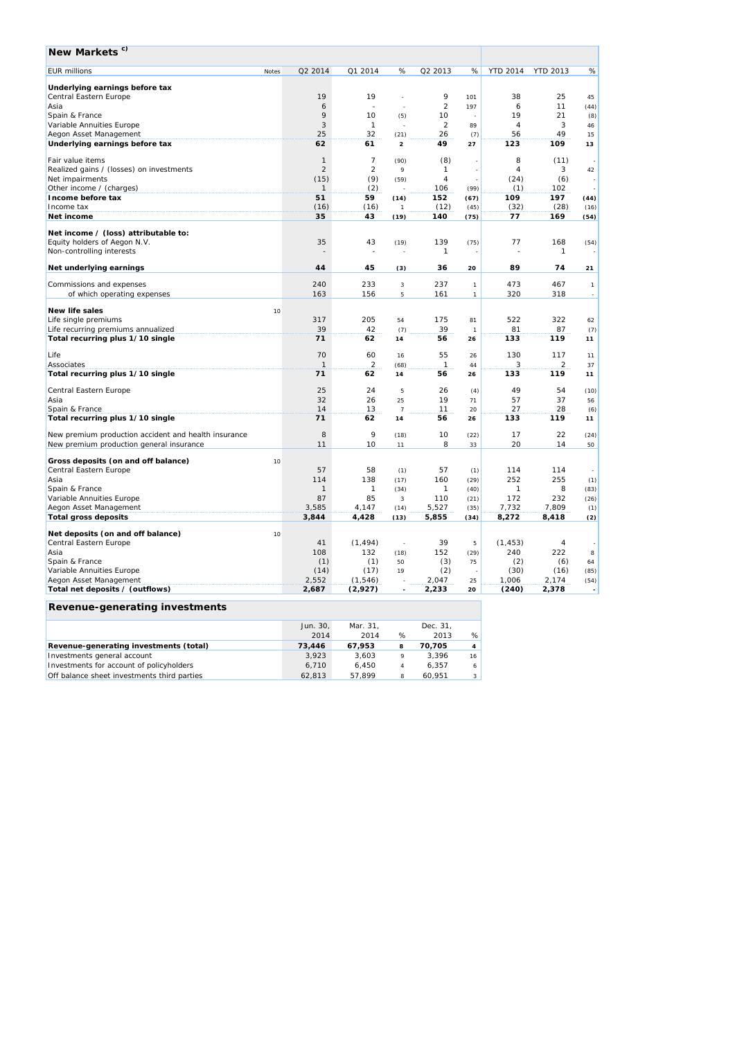| New Markets <sup>c)</sup>                            |                |                |                          |                |                     |                 |                 |                          |
|------------------------------------------------------|----------------|----------------|--------------------------|----------------|---------------------|-----------------|-----------------|--------------------------|
| <b>EUR</b> millions<br>Notes                         | Q2 2014        | Q1 2014        | %                        | Q2 2013        | %                   | <b>YTD 2014</b> | <b>YTD 2013</b> | %                        |
| Underlying earnings before tax                       |                |                |                          |                |                     |                 |                 |                          |
| Central Eastern Europe                               | 19             | 19             | ×,                       | 9              | 101                 | 38              | 25              | 45                       |
| Asia                                                 | 6              | $\overline{a}$ |                          | $\overline{2}$ | 197                 | 6               | 11              | (44)                     |
| Spain & France                                       | 9              | 10             | (5)                      | 10             |                     | 19              | 21              | (8)                      |
| Variable Annuities Europe                            | 3              | 1              |                          | $\overline{2}$ | 89                  | $\overline{4}$  | 3               | 46                       |
| Aegon Asset Management                               | 25             | 32             | (21)                     | 26             | (7)                 | 56              | 49              | 15                       |
| Underlying earnings before tax                       | 62             | 61             | $\overline{z}$           | 49             | 27                  | 123             | 109             | 13                       |
| Fair value items                                     | $\mathbf{1}$   | 7              | (90)                     | (8)            |                     | 8               | (11)            |                          |
| Realized gains / (losses) on investments             | $\overline{2}$ | $\overline{2}$ | 9                        | 1              |                     | $\overline{4}$  | 3               | 42                       |
| Net impairments                                      | (15)           | (9)            | (59)                     | 4              |                     | (24)            | (6)             |                          |
| Other income / (charges)                             | $\mathbf{1}$   | (2)            |                          | 106            | (99)                | (1)             | 102             |                          |
| Income before tax                                    | 51             | 59             | (14)                     | 152            | (67)                | 109             | 197             | (44)                     |
| Income tax                                           | (16)           | (16)           | $\mathcal I$             | (12)           | (45)                | (32)            | (28)            | (16)                     |
| Net income                                           | 35             | 43             | (19)                     | 140            | (75)                | 77              | 169             | (54)                     |
| Net income / (loss) attributable to:                 |                |                |                          |                |                     |                 |                 |                          |
| Equity holders of Aegon N.V.                         | 35             | 43             | (19)                     | 139            | (75)                | 77              | 168             | (54)                     |
| Non-controlling interests                            |                |                |                          | 1              |                     |                 | 1               |                          |
| Net underlying earnings                              | 44             | 45             | (3)                      | 36             | 20                  | 89              | 74              | 21                       |
| Commissions and expenses                             | 240            | 233            | $\sqrt{3}$               | 237            | $\boldsymbol{\eta}$ | 473             | 467             | $\mathcal I$             |
| of which operating expenses                          | 163            | 156            | 5                        | 161            | $\boldsymbol{\eta}$ | 320             | 318             | $\overline{\phantom{a}}$ |
| <b>New life sales</b><br>10                          |                |                |                          |                |                     |                 |                 |                          |
| Life single premiums                                 | 317            | 205            | 54                       | 175            | 81                  | 522             | 322             | 62                       |
| Life recurring premiums annualized                   | 39             | 42             | (7)                      | 39             | $\boldsymbol{\eta}$ | 81              | 87              | (7)                      |
| Total recurring plus 1/10 single                     | 71             | 62             | 14                       | 56             | 26                  | 133             | 119             | 11                       |
| Life                                                 | 70             | 60             | 16                       | 55             | 26                  | 130             | 117             | 11                       |
| Associates                                           | $\mathbf{1}$   | 2              | (68)                     | $\mathbf{1}$   | 44                  | 3               | 2               | 37                       |
| Total recurring plus 1/10 single                     | 71             | 62             | 14                       | 56             | 26                  | 133             | 119             | 11                       |
| Central Eastern Europe                               | 25             | 24             | 5                        | 26             | (4)                 | 49              | 54              | (10)                     |
| Asia                                                 | 32             | 26             | 25                       | 19             | 71                  | 57              | 37              | 56                       |
| Spain & France                                       | 14             | 13             | $\overline{7}$           | 11             | 20                  | 27              | 28              | (6)                      |
| Total recurring plus 1/10 single                     | 71             | 62             | 14                       | 56             | 26                  | 133             | 119             | 11                       |
| New premium production accident and health insurance | 8              | 9              | (18)                     | 10             | (22)                | 17              | 22              | (24)                     |
| New premium production general insurance             | 11             | 10             | 11                       | 8              | 33                  | 20              | 14              | 50                       |
| Gross deposits (on and off balance)<br>10            |                |                |                          |                |                     |                 |                 |                          |
| Central Eastern Europe                               | 57             | 58             | (1)                      | 57             | (1)                 | 114             | 114             | $\overline{\phantom{a}}$ |
| Asia                                                 | 114            | 138            | (17)                     | 160            | (29)                | 252             | 255             | (1)                      |
| Spain & France                                       | $\mathbf{1}$   | 1              | (34)                     | $\mathbf{1}$   | (40)                | $\mathbf{1}$    | 8               | (83)                     |
| Variable Annuities Europe                            | 87             | 85             | $\sqrt{3}$               | 110            | (21)                | 172             | 232             | (26)                     |
| Aegon Asset Management                               | 3,585          | 4,147          | (14)                     | 5,527          | (35)                | 7,732           | 7,809           | (1)                      |
| <b>Total gross deposits</b>                          | 3,844          | 4,428          | (13)                     | 5,855          | (34)                | 8,272           | 8,418           | (2)                      |
| Net deposits (on and off balance)<br>10              |                |                |                          |                |                     |                 |                 |                          |
| Central Eastern Europe                               | 41             | (1, 494)       | $\overline{\phantom{a}}$ | 39             | 5                   | (1, 453)        | 4               |                          |
| Asia                                                 | 108            | 132            | (18)                     | 152            | (29)                | 240             | 222             | $\boldsymbol{s}$         |
| Spain & France                                       | (1)            | (1)            | 50                       | (3)            | 75                  | (2)             | (6)             | 64                       |
| Variable Annuities Europe                            | (14)           | (17)           | 19                       | (2)            |                     | (30)            | (16)            | (85)                     |
| Aegon Asset Management                               | 2,552          | (1, 546)       |                          | 2,047          | 25                  | 1,006           | 2,174           | (54)                     |
| Total net deposits / (outflows)                      | 2,687          | (2, 927)       |                          | 2,233          | 20                  | (240)           | 2,378           | $\overline{\phantom{a}}$ |
|                                                      |                |                |                          |                |                     |                 |                 |                          |

|                                             | Jun. 30. | Mar. 31. |                | Dec. 31, |                |
|---------------------------------------------|----------|----------|----------------|----------|----------------|
|                                             | 2014     | 2014     | %              | 2013     | $\%$           |
| Revenue-generating investments (total)      | 73,446   | 67.953   | 8              | 70.705   | $\overline{4}$ |
| Investments general account                 | 3.923    | 3.603    | 9              | 3.396    | 16             |
| Investments for account of policyholders    | 6.710    | 6.450    | $\overline{4}$ | 6.357    | 6              |
| Off balance sheet investments third parties | 62.813   | 57.899   | 8              | 60.951   | 3              |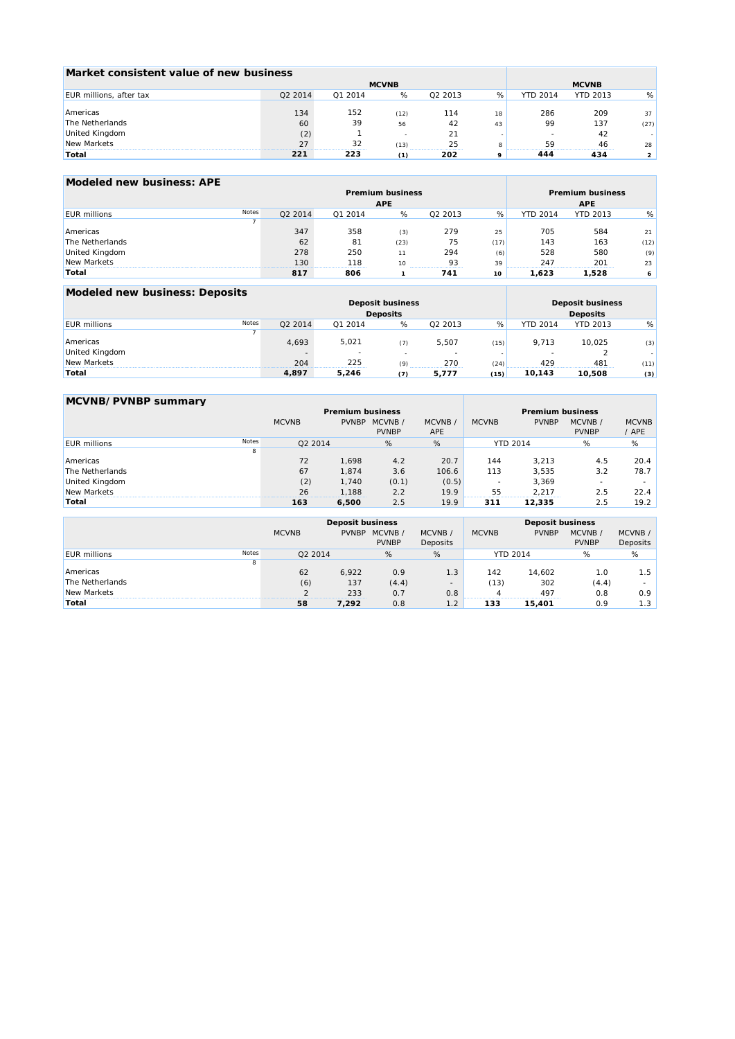|                         | Market consistent value of new business |              |              |         |    |                 |                 |                 |  |  |
|-------------------------|-----------------------------------------|--------------|--------------|---------|----|-----------------|-----------------|-----------------|--|--|
|                         |                                         | <b>MCVNB</b> | <b>MCVNB</b> |         |    |                 |                 |                 |  |  |
| EUR millions, after tax | Q2 2014                                 | Q1 2014      | %            | Q2 2013 | %  | <b>YTD 2014</b> | <b>YTD 2013</b> | %               |  |  |
|                         |                                         |              |              |         |    |                 |                 |                 |  |  |
| Americas                | 134                                     | 152          | (12)         | 114     | 18 | 286             | 209             | 37 <sup>1</sup> |  |  |
| The Netherlands         | 60                                      | 39           | 56           | 42      | 43 | 99              | 137             | (27)            |  |  |
| United Kingdom          | (2)                                     |              |              | 21      |    |                 |                 |                 |  |  |
| New Markets             | 27                                      | - 32         | (13)         | 25      |    | 50              |                 | 28              |  |  |
| Total                   | 221                                     | 223          | (1)          | 202     |    | 444             | 434             |                 |  |  |

| <b>Modeled new business: APE</b> |       |                     |         |                         |                         |            |                 |                 |      |
|----------------------------------|-------|---------------------|---------|-------------------------|-------------------------|------------|-----------------|-----------------|------|
|                                  |       |                     |         | <b>Premium business</b> | <b>Premium business</b> |            |                 |                 |      |
|                                  |       |                     |         | <b>APE</b>              |                         | <b>APE</b> |                 |                 |      |
| <b>EUR</b> millions              | Notes | O <sub>2</sub> 2014 | Q1 2014 | %                       | Q2 2013                 | %          | <b>YTD 2014</b> | <b>YTD 2013</b> | %    |
|                                  |       |                     |         |                         |                         |            |                 |                 |      |
| Americas                         |       | 347                 | 358     | (3)                     | 279                     | 25         | 705             | 584             | 21   |
| The Netherlands                  |       | 62                  | 81      | (23)                    | 75                      | (17)       | 143             | 163             | (12) |
| United Kingdom                   |       | 278                 | 250     | 71                      | 294                     | (6)        | 528             | 580             | (9)  |
| New Markets                      |       | 130                 | 118     | 10                      | 93<br>                  | 39         | 247             | 201             | 23   |
| Total                            |       | 817                 | 806     |                         | 741                     | 10         | 1,623           | 1,528           | 6    |

### **Modeled new business: Deposits**

|                     |              |         |         | <b>Deposit business</b> |         | <b>Deposit business</b> |                          |          |      |  |
|---------------------|--------------|---------|---------|-------------------------|---------|-------------------------|--------------------------|----------|------|--|
|                     |              |         |         | <b>Deposits</b>         |         | <b>Deposits</b>         |                          |          |      |  |
| <b>EUR</b> millions | <b>Notes</b> | Q2 2014 | Q1 2014 | %                       | Q2 2013 | %                       | <b>YTD 2014</b>          | YTD 2013 | %    |  |
|                     |              |         |         |                         |         |                         |                          |          |      |  |
| Americas            |              | 4.693   | 5.021   | (7)                     | 5.507   | (15)                    | 9.713                    | 10.025   | (3)  |  |
| United Kingdom      |              |         |         |                         | $\sim$  |                         | $\overline{\phantom{a}}$ |          |      |  |
| New Markets         |              | 204     | 225     | (9)                     | 270     | (24)                    | 429                      | 481      | (11) |  |
| Total               |              | 4.897   | 5,246   | (7)                     | 5,777   | (15)                    | 10,143                   | 10,508   | (3)  |  |

<u> Tanzania (h. 1878).</u>

| MCVNB/PVNBP summary   |              |              |              |                         |                      |                 |                         |                         |                       |
|-----------------------|--------------|--------------|--------------|-------------------------|----------------------|-----------------|-------------------------|-------------------------|-----------------------|
|                       |              |              |              | <b>Premium business</b> |                      |                 | <b>Premium business</b> |                         |                       |
|                       |              | <b>MCVNB</b> | <b>PVNBP</b> | MCVNB /<br><b>PVNBP</b> | MCVNB/<br><b>APE</b> | <b>MCVNB</b>    | <b>PVNBP</b>            | MCVNB /<br><b>PVNBP</b> | <b>MCVNB</b><br>/ APE |
| <b>EUR</b> millions   | <b>Notes</b> | Q2 2014      |              | %                       | %                    | <b>YTD 2014</b> |                         | %                       | %                     |
|                       | 8            |              |              |                         |                      |                 |                         |                         |                       |
| Americas              |              | 72           | 1.698        | 4.2                     | 20.7                 | 144             | 3.213                   | 4.5                     | 20.4                  |
| The Netherlands       |              | 67           | 1.874        | 3.6                     | 106.6                | 113             | 3.535                   | 3.2                     | 78.7                  |
| <b>United Kingdom</b> |              | (2)          | 1.740        | (0.1)                   | (0.5)                |                 | 3.369                   |                         |                       |
| <b>New Markets</b>    |              | 26           | 1.188        | 2.2                     | 19.9                 | 55              | 2.217                   | 2.5                     | 22.4                  |
| Total                 |              | 163          | 6,500        | 2.5                     | 19.9                 | 311             | 12,335                  | 2.5                     | 19.2                  |

|                     |              |              | <b>Deposit business</b> |               |          | <b>Deposit business</b> |                 |              |          |  |  |
|---------------------|--------------|--------------|-------------------------|---------------|----------|-------------------------|-----------------|--------------|----------|--|--|
|                     |              | <b>MCVNB</b> |                         | PVNBP MCVNB / | MCVNB /  | <b>MCVNB</b>            | <b>PVNBP</b>    | MCVNB /      | MCVNB /  |  |  |
|                     |              |              |                         | <b>PVNBP</b>  | Deposits |                         |                 | <b>PVNBP</b> | Deposits |  |  |
| <b>EUR</b> millions | <b>Notes</b> | Q2 2014      |                         | %             | %        |                         | <b>YTD 2014</b> | %            | %        |  |  |
|                     | 8            |              |                         |               |          |                         |                 |              |          |  |  |
| Americas            |              | 62           | 6,922                   | 0.9           | 1.3      | 142                     | 14.602          | 1.0          | 1.5      |  |  |
| The Netherlands     |              | (6)          | 137                     | (4.4)         | $\sim$   | (13)                    | 302             | (4.4)        |          |  |  |
| New Markets         |              | $\sim$       | 233                     | 0.7           | 0.8      |                         | 497             | 0.8          | 0.9      |  |  |
| Total               |              | 58           | 7.292                   | 0.8           | 1.2      | 133                     | 15,401          | 0.9          | 1.3      |  |  |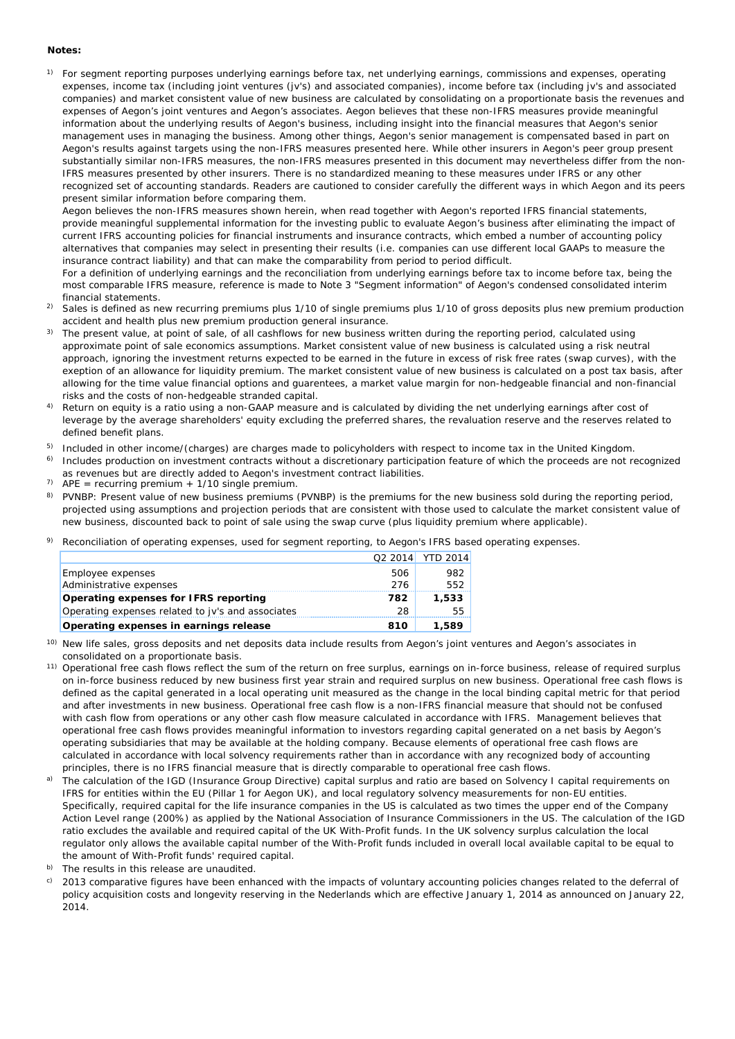### **Notes:**

1) For segment reporting purposes underlying earnings before tax, net underlying earnings, commissions and expenses, operating expenses, income tax (including joint ventures (jv's) and associated companies), income before tax (including jv's and associated companies) and market consistent value of new business are calculated by consolidating on a proportionate basis the revenues and expenses of Aegon's joint ventures and Aegon's associates. Aegon believes that these non-IFRS measures provide meaningful information about the underlying results of Aegon's business, including insight into the financial measures that Aegon's senior management uses in managing the business. Among other things, Aegon's senior management is compensated based in part on Aegon's results against targets using the non-IFRS measures presented here. While other insurers in Aegon's peer group present substantially similar non-IFRS measures, the non-IFRS measures presented in this document may nevertheless differ from the non-IFRS measures presented by other insurers. There is no standardized meaning to these measures under IFRS or any other recognized set of accounting standards. Readers are cautioned to consider carefully the different ways in which Aegon and its peers present similar information before comparing them.

Aegon believes the non-IFRS measures shown herein, when read together with Aegon's reported IFRS financial statements, provide meaningful supplemental information for the investing public to evaluate Aegon's business after eliminating the impact of current IFRS accounting policies for financial instruments and insurance contracts, which embed a number of accounting policy alternatives that companies may select in presenting their results (i.e. companies can use different local GAAPs to measure the insurance contract liability) and that can make the comparability from period to period difficult.

For a definition of underlying earnings and the reconciliation from underlying earnings before tax to income before tax, being the most comparable IFRS measure, reference is made to Note 3 "Segment information" of Aegon's condensed consolidated interim financial statements.

- 2) Sales is defined as new recurring premiums plus 1/10 of single premiums plus 1/10 of gross deposits plus new premium production accident and health plus new premium production general insurance.
- 3) The present value, at point of sale, of all cashflows for new business written during the reporting period, calculated using approximate point of sale economics assumptions. Market consistent value of new business is calculated using a risk neutral approach, ignoring the investment returns expected to be earned in the future in excess of risk free rates (swap curves), with the exeption of an allowance for liquidity premium. The market consistent value of new business is calculated on a post tax basis, after allowing for the time value financial options and guarentees, a market value margin for non-hedgeable financial and non-financial risks and the costs of non-hedgeable stranded capital.
- 4) Return on equity is a ratio using a non-GAAP measure and is calculated by dividing the net underlying earnings after cost of leverage by the average shareholders' equity excluding the preferred shares, the revaluation reserve and the reserves related to defined benefit plans.
- 5) Included in other income/(charges) are charges made to policyholders with respect to income tax in the United Kingdom.
- 6) Includes production on investment contracts without a discretionary participation feature of which the proceeds are not recognized as revenues but are directly added to Aegon's investment contract liabilities.
- 7)  $APE = recurring premium + 1/10 single premium$ .
- <sup>8)</sup> PVNBP: Present value of new business premiums (PVNBP) is the premiums for the new business sold during the reporting period, projected using assumptions and projection periods that are consistent with those used to calculate the market consistent value of new business, discounted back to point of sale using the swap curve (plus liquidity premium where applicable).
- 9) Reconciliation of operating expenses, used for segment reporting, to Aegon's IFRS based operating expenses.

|                                                   |     | Q2 2014 YTD 2014 |
|---------------------------------------------------|-----|------------------|
|                                                   |     |                  |
| Employee expenses                                 | 506 | 982              |
| Administrative expenses                           | 276 | 552              |
| <b>Operating expenses for IFRS reporting</b>      | 782 | 1,533            |
| Operating expenses related to jv's and associates | 28  | 55               |
| Operating expenses in earnings release            | 810 | 1,589            |

<sup>10)</sup> New life sales, gross deposits and net deposits data include results from Aegon's joint ventures and Aegon's associates in consolidated on a proportionate basis.

- <sup>11)</sup> Operational free cash flows reflect the sum of the return on free surplus, earnings on in-force business, release of required surplus on in-force business reduced by new business first year strain and required surplus on new business. Operational free cash flows is defined as the capital generated in a local operating unit measured as the change in the local binding capital metric for that period and after investments in new business. Operational free cash flow is a non-IFRS financial measure that should not be confused with cash flow from operations or any other cash flow measure calculated in accordance with IFRS. Management believes that operational free cash flows provides meaningful information to investors regarding capital generated on a net basis by Aegon's operating subsidiaries that may be available at the holding company. Because elements of operational free cash flows are calculated in accordance with local solvency requirements rather than in accordance with any recognized body of accounting principles, there is no IFRS financial measure that is directly comparable to operational free cash flows.
- a) The calculation of the IGD (Insurance Group Directive) capital surplus and ratio are based on Solvency I capital requirements on IFRS for entities within the EU (Pillar 1 for Aegon UK), and local regulatory solvency measurements for non-EU entities. Specifically, required capital for the life insurance companies in the US is calculated as two times the upper end of the Company Action Level range (200%) as applied by the National Association of Insurance Commissioners in the US. The calculation of the IGD ratio excludes the available and required capital of the UK With-Profit funds. In the UK solvency surplus calculation the local regulator only allows the available capital number of the With-Profit funds included in overall local available capital to be equal to the amount of With-Profit funds' required capital.

b) The results in this release are unaudited.

c) 2013 comparative figures have been enhanced with the impacts of voluntary accounting policies changes related to the deferral of policy acquisition costs and longevity reserving in the Nederlands which are effective January 1, 2014 as announced on January 22, 2014.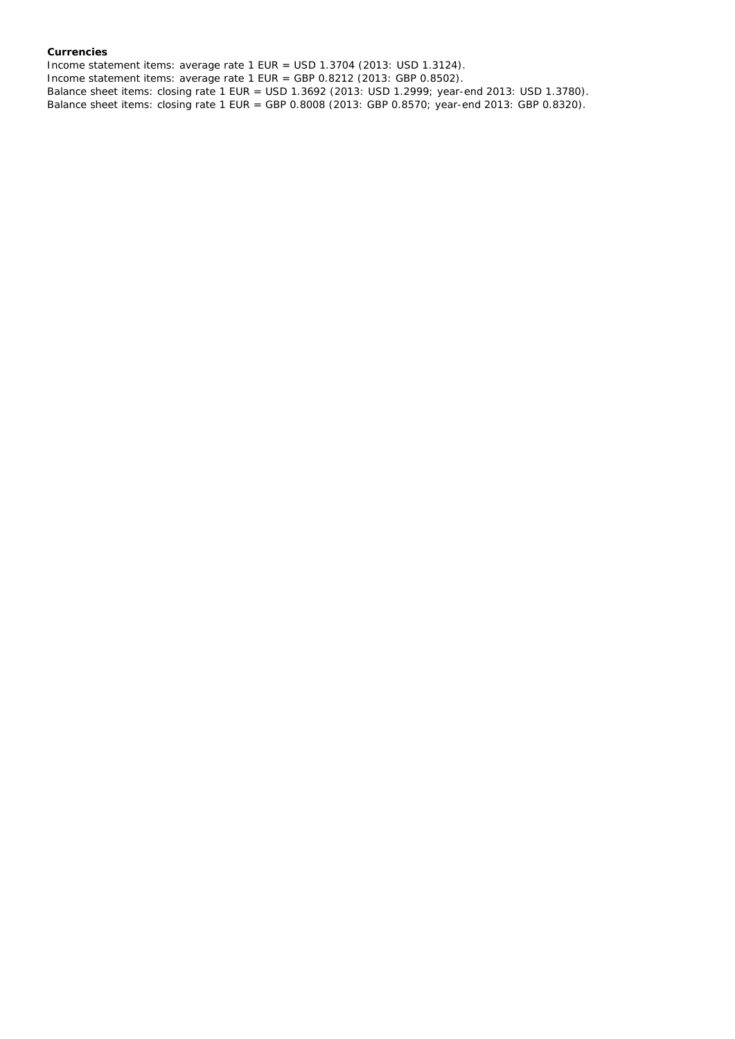### **Currencies**

Income statement items: average rate 1 EUR = USD 1.3704 (2013: USD 1.3124). Income statement items: average rate 1 EUR = GBP 0.8212 (2013: GBP 0.8502). Balance sheet items: closing rate 1 EUR = USD 1.3692 (2013: USD 1.2999; year-end 2013: USD 1.3780). Balance sheet items: closing rate 1 EUR = GBP 0.8008 (2013: GBP 0.8570; year-end 2013: GBP 0.8320).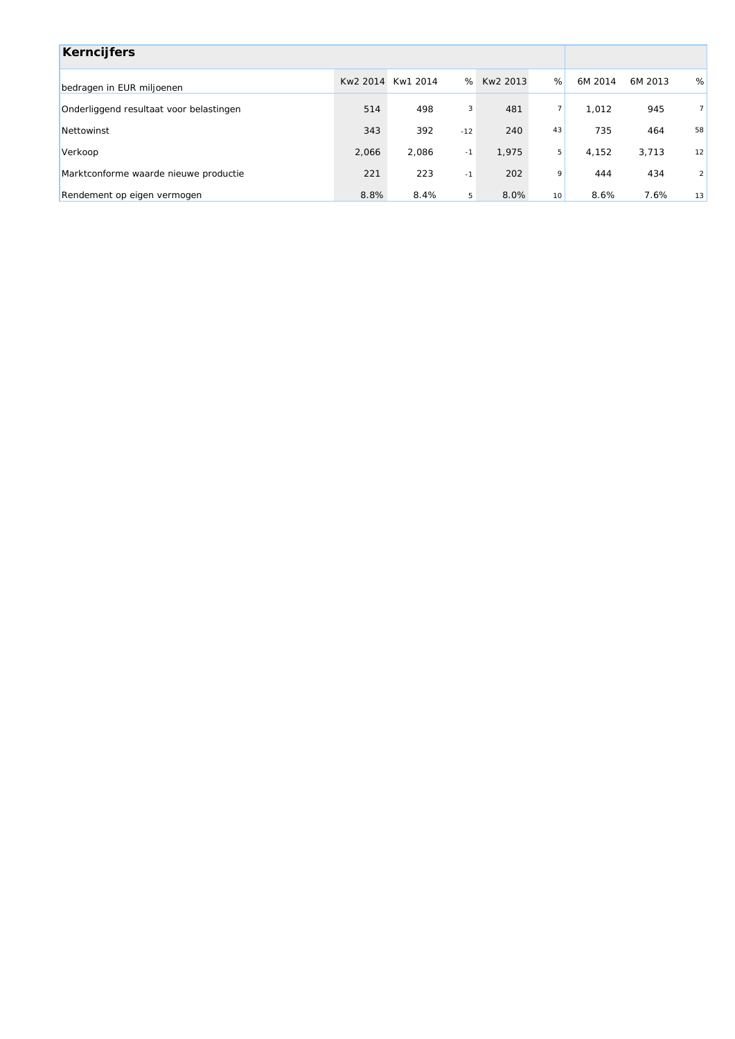| Kerncijfers                             |       |                   |       |          |    |         |         |                |
|-----------------------------------------|-------|-------------------|-------|----------|----|---------|---------|----------------|
| bedragen in EUR miljoenen               |       | Kw2 2014 Kw1 2014 | %     | Kw2 2013 | %  | 6M 2014 | 6M 2013 | %              |
| Onderliggend resultaat voor belastingen | 514   | 498               | 3     | 481      |    | 1.012   | 945     | $\overline{7}$ |
| Nettowinst                              | 343   | 392               | $-12$ | 240      | 43 | 735     | 464     | 58             |
| Verkoop                                 | 2.066 | 2.086             | $-1$  | 1.975    | 5  | 4.152   | 3,713   | 12             |
| Marktconforme waarde nieuwe productie   | 221   | 223               | $-1$  | 202      | 9  | 444     | 434     | $\overline{2}$ |
| Rendement op eigen vermogen             | 8.8%  | 8.4%              | 5     | 8.0%     | 10 | 8.6%    | 7.6%    | 13             |